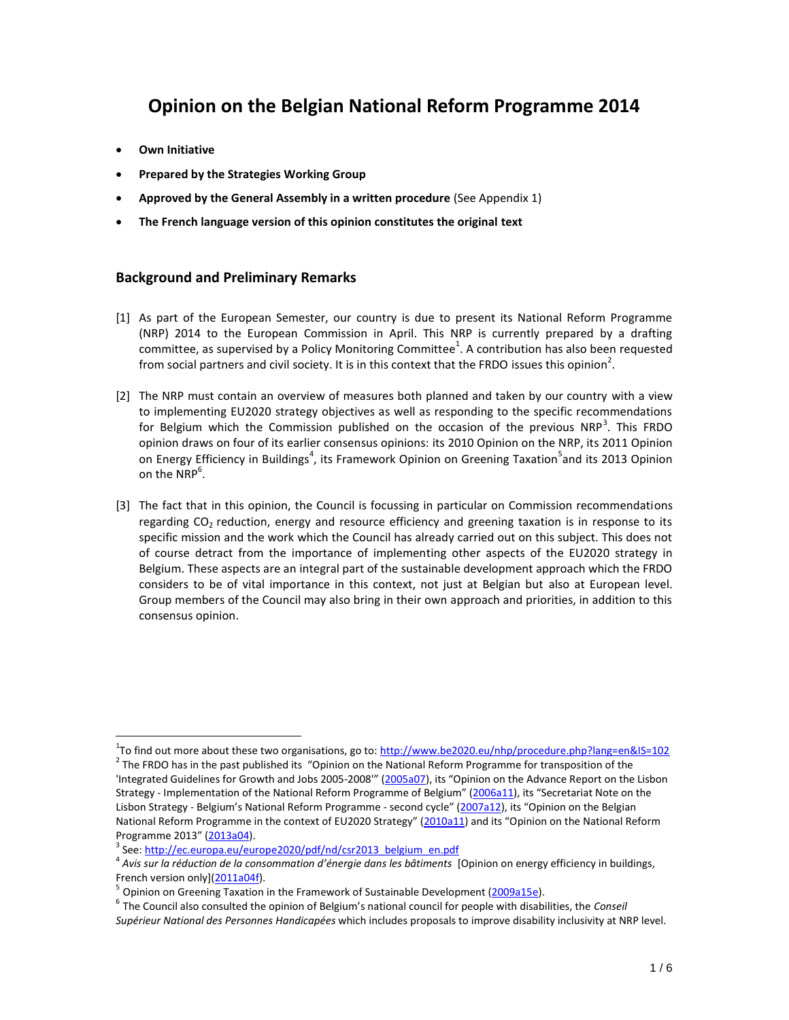# **Opinion on the Belgian National Reform Programme 2014**

**Own Initiative** 

 $\overline{a}$ 

- **Prepared by the Strategies Working Group**
- **Approved by the General Assembly in a written procedure** (See Appendix 1)
- **The French language version of this opinion constitutes the original text**

# **Background and Preliminary Remarks**

- [1] As part of the European Semester, our country is due to present its National Reform Programme (NRP) 2014 to the European Commission in April. This NRP is currently prepared by a drafting committee, as supervised by a Policy Monitoring Committee<sup>1</sup>. A contribution has also been requested from social partners and civil society. It is in this context that the FRDO issues this opinion<sup>2</sup>.
- [2] The NRP must contain an overview of measures both planned and taken by our country with a view to implementing EU2020 strategy objectives as well as responding to the specific recommendations for Belgium which the Commission published on the occasion of the previous NRP<sup>3</sup>. This FRDO opinion draws on four of its earlier consensus opinions: its 2010 Opinion on the NRP, its 2011 Opinion on Energy Efficiency in Buildings<sup>4</sup>, its Framework Opinion on Greening Taxation<sup>5</sup>and its 2013 Opinion on the NRP $^6$ .
- [3] The fact that in this opinion, the Council is focussing in particular on Commission recommendations regarding CO<sub>2</sub> reduction, energy and resource efficiency and greening taxation is in response to its specific mission and the work which the Council has already carried out on this subject. This does not of course detract from the importance of implementing other aspects of the EU2020 strategy in Belgium. These aspects are an integral part of the sustainable development approach which the FRDO considers to be of vital importance in this context, not just at Belgian but also at European level. Group members of the Council may also bring in their own approach and priorities, in addition to this consensus opinion.

<sup>&</sup>lt;sup>1</sup>To find out more about these two organisations, go to: <u>http://www.be2020.eu/nhp/procedure.php?lang=en&IS=102</u>  $2$  The FRDO has in the past published its "Opinion on the National Reform Programme for transposition of the 'Integrated Guidelines for Growth and Jobs 2005-2008'" ([2005a07](http://www.frdo-cfdd.be/sites/default/files/content/download/files/2005a07f.pdf)), its "Opinion on the Advance Report on the Lisbon Strategy - Implementation of the National Reform Programme of Belgium" ([2006a11](http://www.frdo-cfdd.be/sites/default/files/content/download/files/2006a11f.pdf)), its "Secretariat Note on the Lisbon Strategy - Belgium's National Reform Programme - second cycle" ([2007a12](http://www.frdo-cfdd.be/sites/default/files/content/download/files/2007a12f.pdf)), its "Opinion on the Belgian National Reform Programme in the context of EU2020 Strategy" ([2010a11](http://www.frdo-cfdd.be/sites/default/files/content/download/files/2010a11f.pdf)) and its "Opinion on the National Reform Programme 2013" ([2013a04\)](http://www.frdo-cfdd.be/sites/default/files/content/download/files/2013a04f.pdf).

<sup>&</sup>lt;sup>3</sup> See[: http://ec.europa.eu/europe2020/pdf/nd/csr2013\\_belgium\\_en.pdf](http://ec.europa.eu/europe2020/pdf/nd/csr2013_belgium_fr.pdf)

<sup>4</sup> *Avis sur la réduction de la consommation d'énergie dans les bâtiments* [Opinion on energy efficiency in buildings, French version only][\(2011a04f\)](http://www.frdo-cfdd.be/sites/default/files/content/download/files/2011a04f.pdf).

<sup>5</sup> Opinion on Greening Taxation in the Framework of Sustainable Development [\(2009a15e\)](http://www.frdo-cfdd.be/sites/default/files/content/download/files/2009a15e.pdf).

<sup>6</sup> The Council also consulted the opinion of Belgium's national council for people with disabilities, the *Conseil Supérieur National des Personnes Handicapées* which includes proposals to improve disability inclusivity at NRP level.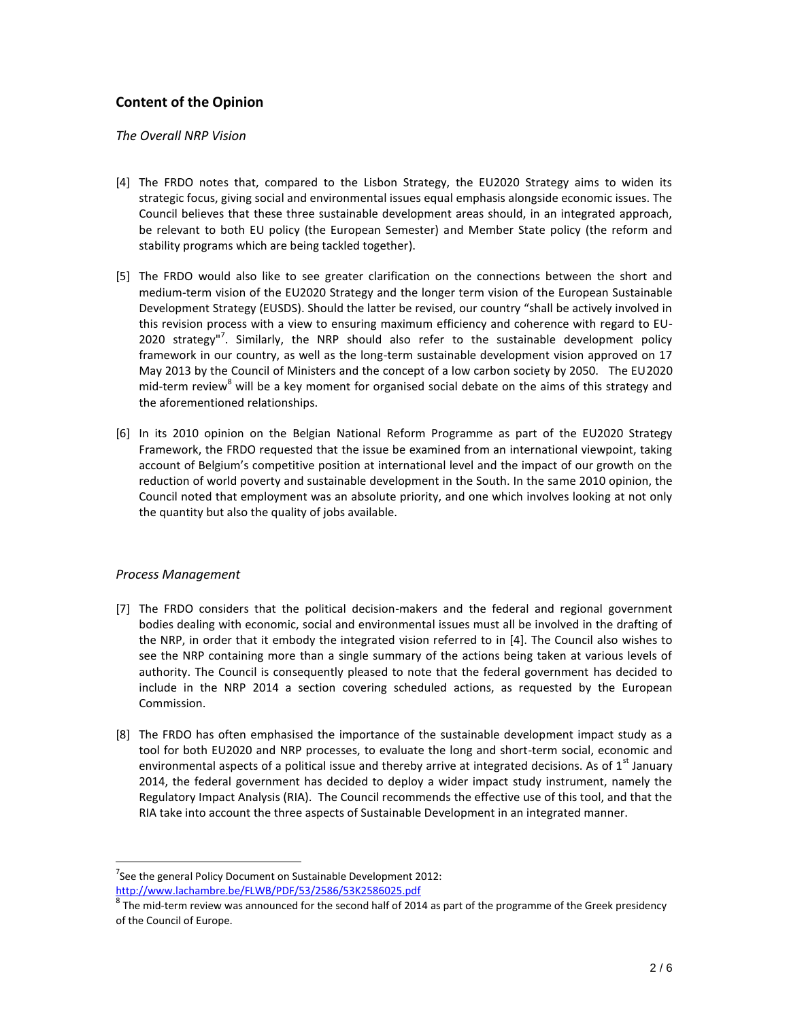# **Content of the Opinion**

#### *The Overall NRP Vision*

- [4] The FRDO notes that, compared to the Lisbon Strategy, the EU2020 Strategy aims to widen its strategic focus, giving social and environmental issues equal emphasis alongside economic issues. The Council believes that these three sustainable development areas should, in an integrated approach, be relevant to both EU policy (the European Semester) and Member State policy (the reform and stability programs which are being tackled together).
- [5] The FRDO would also like to see greater clarification on the connections between the short and medium-term vision of the EU2020 Strategy and the longer term vision of the European Sustainable Development Strategy (EUSDS). Should the latter be revised, our country "shall be actively involved in this revision process with a view to ensuring maximum efficiency and coherence with regard to EU-2020 strategy"<sup>7</sup>. Similarly, the NRP should also refer to the sustainable development policy framework in our country, as well as the long-term sustainable development vision approved on 17 May 2013 by the Council of Ministers and the concept of a low carbon society by 2050. The EU2020 mid-term review<sup>8</sup> will be a key moment for organised social debate on the aims of this strategy and the aforementioned relationships.
- [6] In its 2010 opinion on the Belgian National Reform Programme as part of the EU2020 Strategy Framework, the FRDO requested that the issue be examined from an international viewpoint, taking account of Belgium's competitive position at international level and the impact of our growth on the reduction of world poverty and sustainable development in the South. In the same 2010 opinion, the Council noted that employment was an absolute priority, and one which involves looking at not only the quantity but also the quality of jobs available.

## *Process Management*

 $\overline{a}$ 

- [7] The FRDO considers that the political decision-makers and the federal and regional government bodies dealing with economic, social and environmental issues must all be involved in the drafting of the NRP, in order that it embody the integrated vision referred to in [4]. The Council also wishes to see the NRP containing more than a single summary of the actions being taken at various levels of authority. The Council is consequently pleased to note that the federal government has decided to include in the NRP 2014 a section covering scheduled actions, as requested by the European Commission.
- [8] The FRDO has often emphasised the importance of the sustainable development impact study as a tool for both EU2020 and NRP processes, to evaluate the long and short-term social, economic and environmental aspects of a political issue and thereby arrive at integrated decisions. As of  $1^{st}$  January 2014, the federal government has decided to deploy a wider impact study instrument, namely the Regulatory Impact Analysis (RIA). The Council recommends the effective use of this tool, and that the RIA take into account the three aspects of Sustainable Development in an integrated manner.

 $7$ See the general Policy Document on Sustainable Development 2012: <http://www.lachambre.be/FLWB/PDF/53/2586/53K2586025.pdf>

 $^8$  The mid-term review was announced for the second half of 2014 as part of the programme of the Greek presidency of the Council of Europe.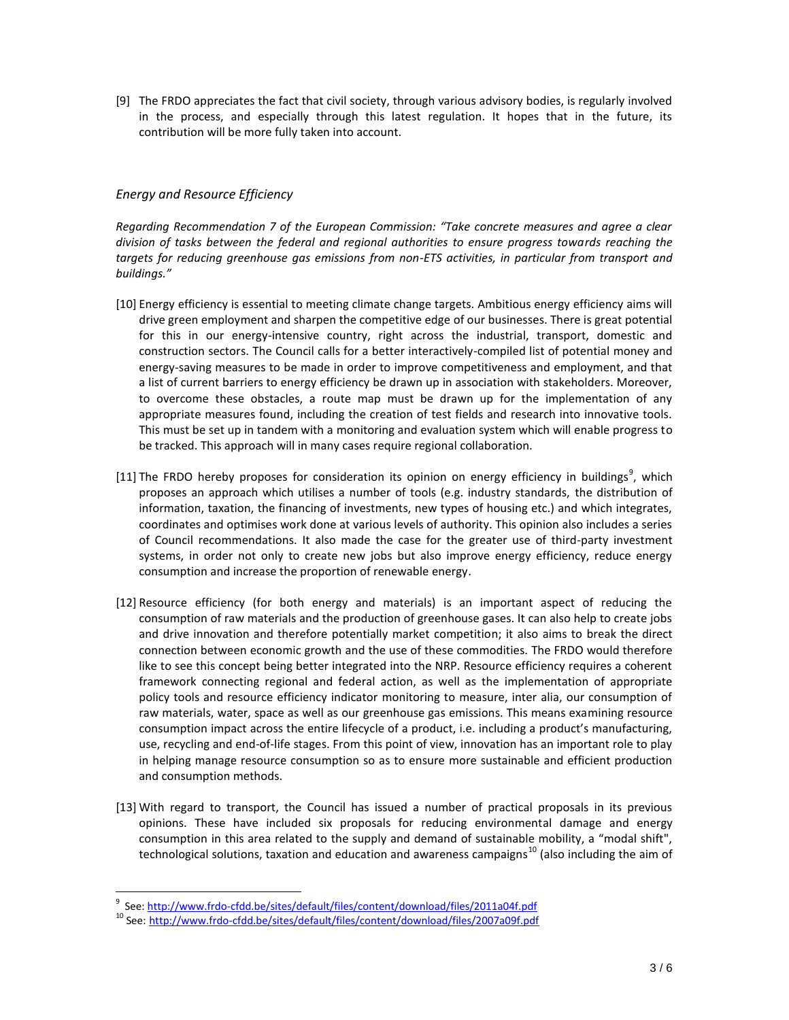[9] The FRDO appreciates the fact that civil society, through various advisory bodies, is regularly involved in the process, and especially through this latest regulation. It hopes that in the future, its contribution will be more fully taken into account.

## *Energy and Resource Efficiency*

*Regarding Recommendation 7 of the European Commission: "Take concrete measures and agree a clear division of tasks between the federal and regional authorities to ensure progress towards reaching the targets for reducing greenhouse gas emissions from non-ETS activities, in particular from transport and buildings."*

- [10] Energy efficiency is essential to meeting climate change targets. Ambitious energy efficiency aims will drive green employment and sharpen the competitive edge of our businesses. There is great potential for this in our energy-intensive country, right across the industrial, transport, domestic and construction sectors. The Council calls for a better interactively-compiled list of potential money and energy-saving measures to be made in order to improve competitiveness and employment, and that a list of current barriers to energy efficiency be drawn up in association with stakeholders. Moreover, to overcome these obstacles, a route map must be drawn up for the implementation of any appropriate measures found, including the creation of test fields and research into innovative tools. This must be set up in tandem with a monitoring and evaluation system which will enable progress to be tracked. This approach will in many cases require regional collaboration.
- [11] The FRDO hereby proposes for consideration its opinion on energy efficiency in buildings<sup>9</sup>, which proposes an approach which utilises a number of tools (e.g. industry standards, the distribution of information, taxation, the financing of investments, new types of housing etc.) and which integrates, coordinates and optimises work done at various levels of authority. This opinion also includes a series of Council recommendations. It also made the case for the greater use of third-party investment systems, in order not only to create new jobs but also improve energy efficiency, reduce energy consumption and increase the proportion of renewable energy.
- [12] Resource efficiency (for both energy and materials) is an important aspect of reducing the consumption of raw materials and the production of greenhouse gases. It can also help to create jobs and drive innovation and therefore potentially market competition; it also aims to break the direct connection between economic growth and the use of these commodities. The FRDO would therefore like to see this concept being better integrated into the NRP. Resource efficiency requires a coherent framework connecting regional and federal action, as well as the implementation of appropriate policy tools and resource efficiency indicator monitoring to measure, inter alia, our consumption of raw materials, water, space as well as our greenhouse gas emissions. This means examining resource consumption impact across the entire lifecycle of a product, i.e. including a product's manufacturing, use, recycling and end-of-life stages. From this point of view, innovation has an important role to play in helping manage resource consumption so as to ensure more sustainable and efficient production and consumption methods.
- [13] With regard to transport, the Council has issued a number of practical proposals in its previous opinions. These have included six proposals for reducing environmental damage and energy consumption in this area related to the supply and demand of sustainable mobility, a "modal shift", technological solutions, taxation and education and awareness campaigns<sup>10</sup> (also including the aim of

 $\overline{a}$ 

<sup>9</sup> See[: http://www.frdo-cfdd.be/sites/default/files/content/download/files/2011a04f.pdf](http://www.frdo-cfdd.be/sites/default/files/content/download/files/2011a04f.pdf)

<sup>10</sup> See: <http://www.frdo-cfdd.be/sites/default/files/content/download/files/2007a09f.pdf>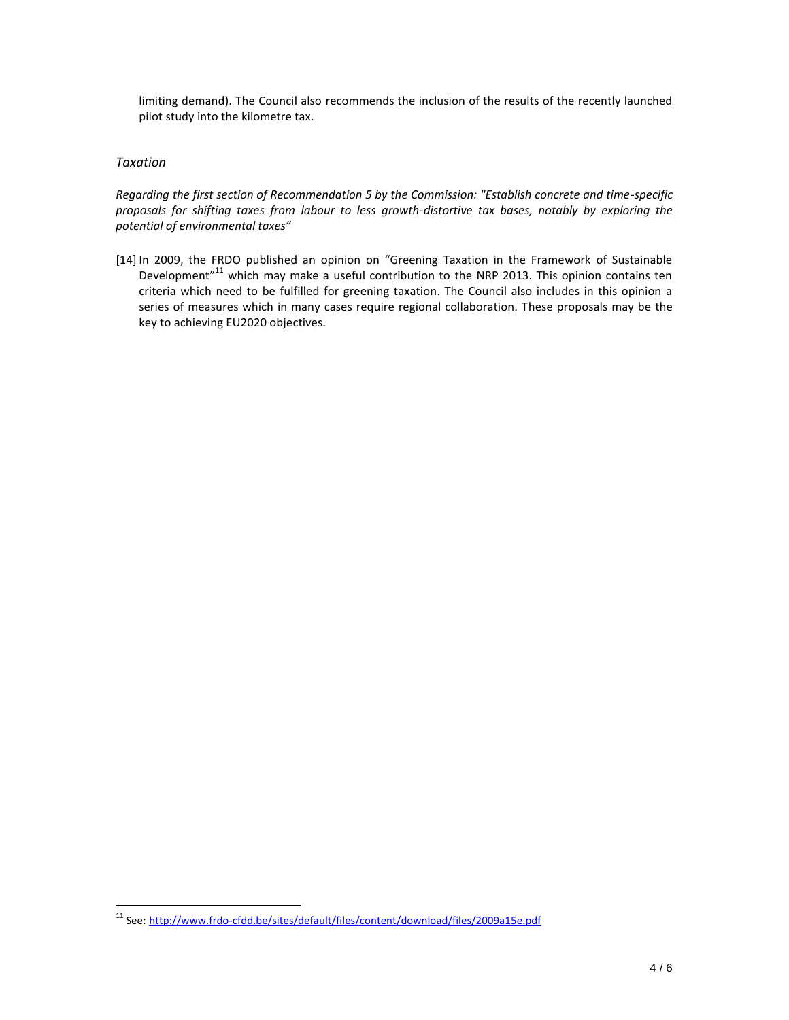limiting demand). The Council also recommends the inclusion of the results of the recently launched pilot study into the kilometre tax.

#### *Taxation*

 $\overline{a}$ 

*Regarding the first section of Recommendation 5 by the Commission: "Establish concrete and time-specific proposals for shifting taxes from labour to less growth-distortive tax bases, notably by exploring the potential of environmental taxes"*

[14] In 2009, the FRDO published an opinion on "Greening Taxation in the Framework of Sustainable Development<sup>"11</sup> which may make a useful contribution to the NRP 2013. This opinion contains ten criteria which need to be fulfilled for greening taxation. The Council also includes in this opinion a series of measures which in many cases require regional collaboration. These proposals may be the key to achieving EU2020 objectives.

<sup>11</sup> See: [http://www.frdo-cfdd.be/sites/default/files/content/download/files/2009a15e.pdf](http://www.frdo-cfdd.be/sites/default/files/content/download/files/2009a15f.pdf)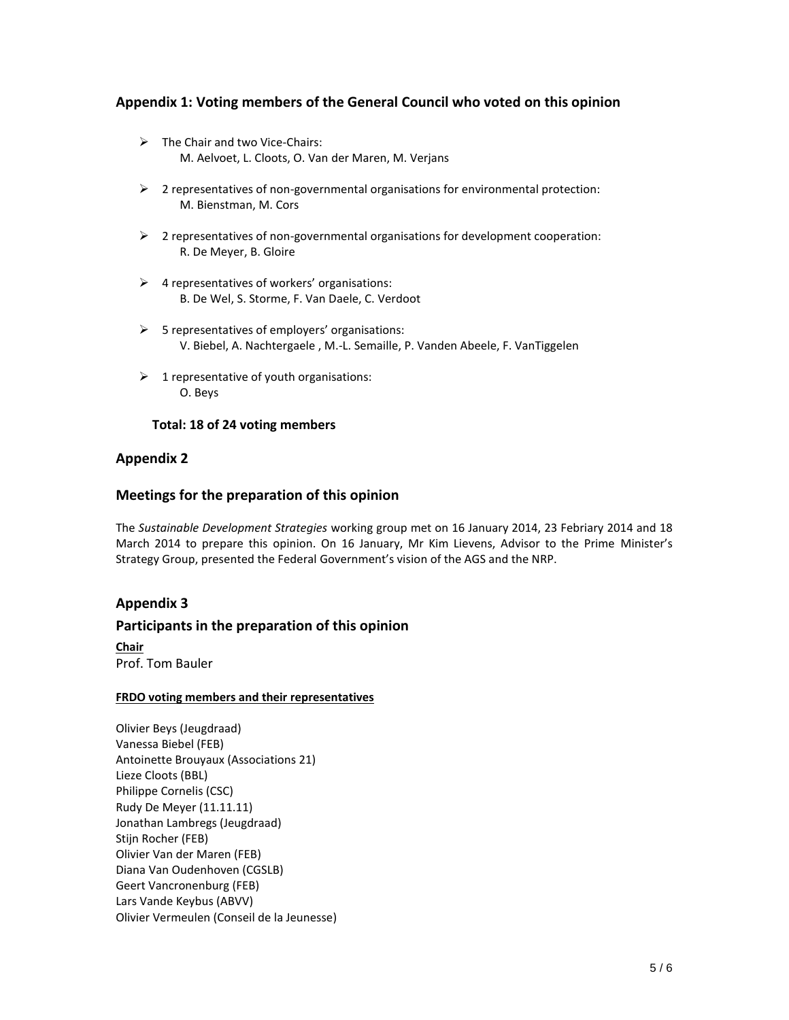# **Appendix 1: Voting members of the General Council who voted on this opinion**

- $\triangleright$  The Chair and two Vice-Chairs: M. Aelvoet, L. Cloots, O. Van der Maren, M. Verjans
- $\triangleright$  2 representatives of non-governmental organisations for environmental protection: M. Bienstman, M. Cors
- 2 representatives of non-governmental organisations for development cooperation: R. De Meyer, B. Gloire
- $\triangleright$  4 representatives of workers' organisations: B. De Wel, S. Storme, F. Van Daele, C. Verdoot
- $\triangleright$  5 representatives of employers' organisations: V. Biebel, A. Nachtergaele , M.-L. Semaille, P. Vanden Abeele, F. VanTiggelen
- $\triangleright$  1 representative of youth organisations: O. Beys

#### **Total: 18 of 24 voting members**

# **Appendix 2**

## **Meetings for the preparation of this opinion**

The *Sustainable Development Strategies* working group met on 16 January 2014, 23 Febriary 2014 and 18 March 2014 to prepare this opinion. On 16 January, Mr Kim Lievens, Advisor to the Prime Minister's Strategy Group, presented the Federal Government's vision of the AGS and the NRP.

## **Appendix 3**

## **Participants in the preparation of this opinion**

**Chair** Prof. Tom Bauler

#### **FRDO voting members and their representatives**

Olivier Beys (Jeugdraad) Vanessa Biebel (FEB) Antoinette Brouyaux (Associations 21) Lieze Cloots (BBL) Philippe Cornelis (CSC) Rudy De Meyer (11.11.11) Jonathan Lambregs (Jeugdraad) Stijn Rocher (FEB) Olivier Van der Maren (FEB) Diana Van Oudenhoven (CGSLB) Geert Vancronenburg (FEB) Lars Vande Keybus (ABVV) Olivier Vermeulen (Conseil de la Jeunesse)